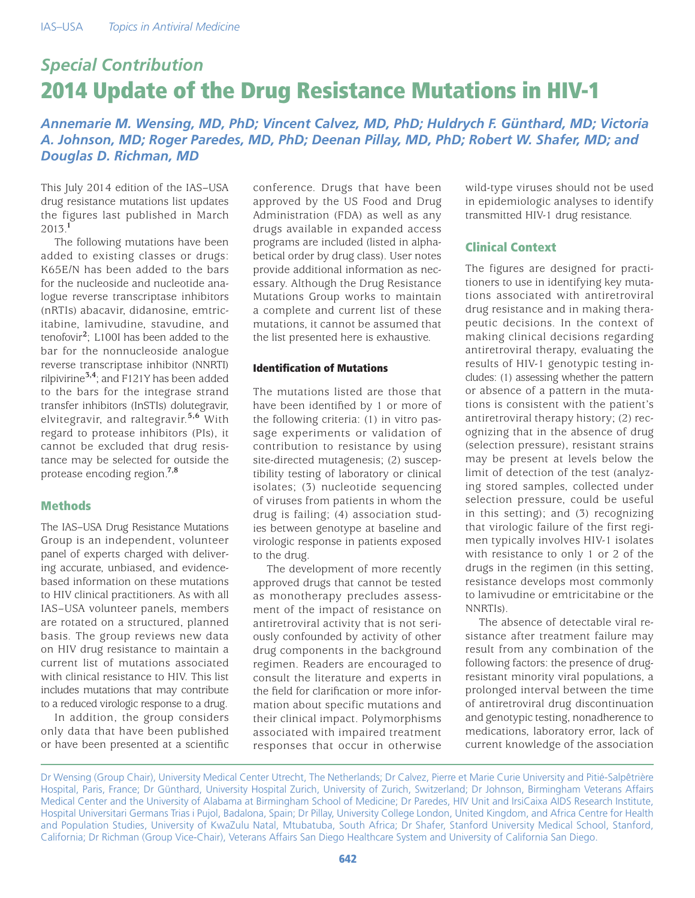# *Special Contribution* 2014 Update of the Drug Resistance Mutations in HIV-1

*Annemarie M. Wensing, MD, PhD; Vincent Calvez, MD, PhD; Huldrych F. Günthard, MD; Victoria A. Johnson, MD; Roger Paredes, MD, PhD; Deenan Pillay, MD, PhD; Robert W. Shafer, MD; and Douglas D. Richman, MD*

This July 2014 edition of the IAS–USA drug resistance mutations list updates the figures last published in March 2013.**<sup>1</sup>**

The following mutations have been added to existing classes or drugs: K65E/N has been added to the bars for the nucleoside and nucleotide analogue reverse transcriptase inhibitors (nRTIs) abacavir, didanosine, emtricitabine, lamivudine, stavudine, and tenofovir**<sup>2</sup>** ; L100I has been added to the bar for the nonnucleoside analogue reverse transcriptase inhibitor (NNRTI) rilpivirine**3,4**; and F121Y has been added to the bars for the integrase strand transfer inhibitors (InSTIs) dolutegravir, elvitegravir, and raltegravir.**5,6** With regard to protease inhibitors (PIs), it cannot be excluded that drug resistance may be selected for outside the protease encoding region.**7,8**

## **Methods**

The IAS–USA Drug Resistance Mutations Group is an independent, volunteer panel of experts charged with delivering accurate, unbiased, and evidencebased information on these mutations to HIV clinical practitioners. As with all IAS–USA volunteer panels, members are rotated on a structured, planned basis. The group reviews new data on HIV drug resistance to maintain a current list of mutations associated with clinical resistance to HIV. This list includes mutations that may contribute to a reduced virologic response to a drug.

In addition, the group considers only data that have been published or have been presented at a scientific conference. Drugs that have been approved by the US Food and Drug Administration (FDA) as well as any drugs available in expanded access programs are included (listed in alphabetical order by drug class). User notes provide additional information as necessary. Although the Drug Resistance Mutations Group works to maintain a complete and current list of these mutations, it cannot be assumed that the list presented here is exhaustive.

## Identification of Mutations

The mutations listed are those that have been identified by 1 or more of the following criteria: (1) in vitro passage experiments or validation of contribution to resistance by using site-directed mutagenesis; (2) susceptibility testing of laboratory or clinical isolates; (3) nucleotide sequencing of viruses from patients in whom the drug is failing; (4) association studies between genotype at baseline and virologic response in patients exposed to the drug.

The development of more recently approved drugs that cannot be tested as monotherapy precludes assessment of the impact of resistance on antiretroviral activity that is not seriously confounded by activity of other drug components in the background regimen. Readers are encouraged to consult the literature and experts in the field for clarification or more information about specific mutations and their clinical impact. Polymorphisms associated with impaired treatment responses that occur in otherwise wild-type viruses should not be used in epidemiologic analyses to identify transmitted HIV-1 drug resistance.

## Clinical Context

The figures are designed for practitioners to use in identifying key mutations associated with antiretroviral drug resistance and in making therapeutic decisions. In the context of making clinical decisions regarding antiretroviral therapy, evaluating the results of HIV-1 genotypic testing includes: (1) assessing whether the pattern or absence of a pattern in the mutations is consistent with the patient's antiretroviral therapy history; (2) recognizing that in the absence of drug (selection pressure), resistant strains may be present at levels below the limit of detection of the test (analyzing stored samples, collected under selection pressure, could be useful in this setting); and (3) recognizing that virologic failure of the first regimen typically involves HIV-1 isolates with resistance to only 1 or 2 of the drugs in the regimen (in this setting, resistance develops most commonly to lamivudine or emtricitabine or the NNRTIs).

The absence of detectable viral resistance after treatment failure may result from any combination of the following factors: the presence of drugresistant minority viral populations, a prolonged interval between the time of antiretroviral drug discontinuation and genotypic testing, nonadherence to medications, laboratory error, lack of current knowledge of the association

Dr Wensing (Group Chair), University Medical Center Utrecht, The Netherlands; Dr Calvez, Pierre et Marie Curie University and Pitié-Salpêtrière Hospital, Paris, France; Dr Günthard, University Hospital Zurich, University of Zurich, Switzerland; Dr Johnson, Birmingham Veterans Affairs Medical Center and the University of Alabama at Birmingham School of Medicine; Dr Paredes, HIV Unit and IrsiCaixa AIDS Research Institute, Hospital Universitari Germans Trias i Pujol, Badalona, Spain; Dr Pillay, University College London, United Kingdom, and Africa Centre for Health and Population Studies, University of KwaZulu Natal, Mtubatuba, South Africa; Dr Shafer, Stanford University Medical School, Stanford, California; Dr Richman (Group Vice-Chair), Veterans Affairs San Diego Healthcare System and University of California San Diego.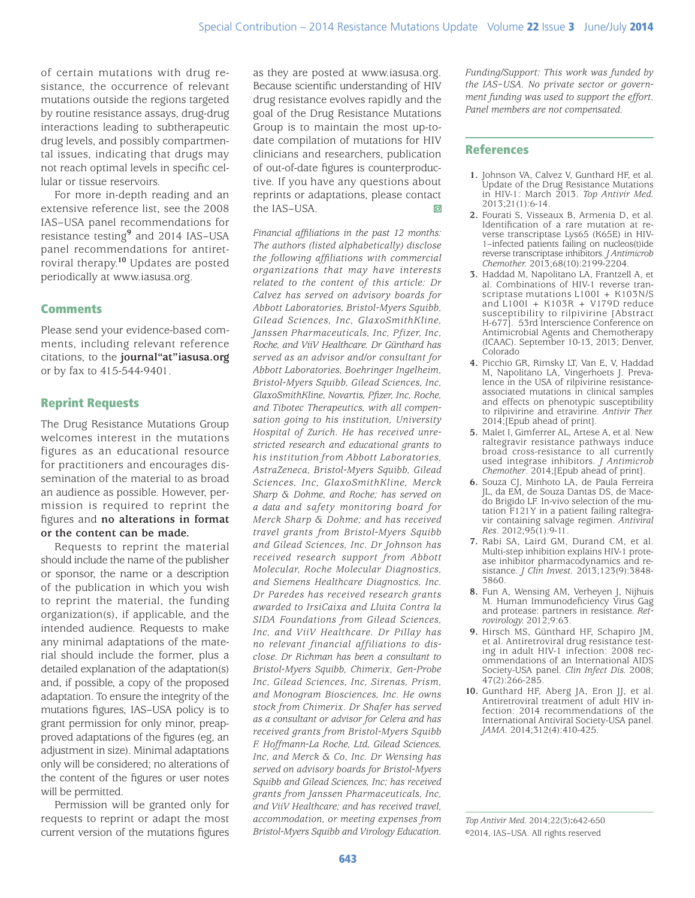of certain mutations with drug resistance, the occurrence of relevant mutations outside the regions targeted by routine resistance assays, drug-drug interactions leading to subtherapeutic drug levels, and possibly compartmental issues, indicating that drugs may not reach optimal levels in specific cellular or tissue reservoirs.

For more in-depth reading and an extensive reference list, see the 2008 IAS–USA panel recommendations for resistance testing**<sup>9</sup>** and 2014 IAS–USA panel recommendations for antiretroviral therapy.**<sup>10</sup>** Updates are posted periodically at www.iasusa.org.

# **Comments**

Please send your evidence-based comments, including relevant reference citations, to the **journal"at"iasusa.org** or by fax to 415-544-9401.

# Reprint Requests

The Drug Resistance Mutations Group welcomes interest in the mutations figures as an educational resource for practitioners and encourages dissemination of the material to as broad an audience as possible. However, permission is required to reprint the figures and **no alterations in format or the content can be made.**

Requests to reprint the material should include the name of the publisher or sponsor, the name or a description of the publication in which you wish to reprint the material, the funding organization(s), if applicable, and the intended audience. Requests to make any minimal adaptations of the material should include the former, plus a detailed explanation of the adaptation(s) and, if possible, a copy of the proposed adaptation. To ensure the integrity of the mutations figures, IAS–USA policy is to grant permission for only minor, preapproved adaptations of the figures (eg, an adjustment in size). Minimal adaptations only will be considered; no alterations of the content of the figures or user notes will be permitted.

Permission will be granted only for requests to reprint or adapt the most current version of the mutations figures

as they are posted at www.iasusa.org. Because scientific understanding of HIV drug resistance evolves rapidly and the goal of the Drug Resistance Mutations Group is to maintain the most up-todate compilation of mutations for HIV clinicians and researchers, publication of out-of-date figures is counterproductive. If you have any questions about reprints or adaptations, please contact the IAS–USA.

*Financial affiliations in the past 12 months: The authors (listed alphabetically) disclose the following affiliations with commercial organizations that may have interests related to the content of this article: Dr Calvez has served on advisory boards for Abbott Laboratories, Bristol-Myers Squibb, Gilead Sciences, Inc, GlaxoSmithKline, Janssen Pharmaceuticals, Inc, Pfizer, Inc, Roche, and ViiV Healthcare. Dr Günthard has served as an advisor and/or consultant for Abbott Laboratories, Boehringer Ingelheim, Bristol-Myers Squibb, Gilead Sciences, Inc, GlaxoSmithKline, Novartis, Pfizer, Inc, Roche, and Tibotec Therapeutics, with all compensation going to his institution, University Hospital of Zurich. He has received unrestricted research and educational grants to his institution from Abbott Laboratories, AstraZeneca, Bristol-Myers Squibb, Gilead Sciences, Inc, GlaxoSmithKline, Merck Sharp & Dohme, and Roche; has served on a data and safety monitoring board for Merck Sharp & Dohme; and has received travel grants from Bristol-Myers Squibb and Gilead Sciences, Inc. Dr Johnson has received research support from Abbott Molecular, Roche Molecular Diagnostics, and Siemens Healthcare Diagnostics, Inc. Dr Paredes has received research grants awarded to IrsiCaixa and Lluita Contra la SIDA Foundations from Gilead Sciences, Inc, and ViiV Healthcare. Dr Pillay has no relevant financial affiliations to disclose. Dr Richman has been a consultant to Bristol-Myers Squibb, Chimerix, Gen-Probe Inc, Gilead Sciences, Inc, Sirenas, Prism, and Monogram Biosciences, Inc. He owns stock from Chimerix. Dr Shafer has served as a consultant or advisor for Celera and has received grants from Bristol-Myers Squibb F. Hoffmann-La Roche, Ltd, Gilead Sciences, Inc, and Merck & Co, Inc. Dr Wensing has served on advisory boards for Bristol-Myers Squibb and Gilead Sciences, Inc; has received grants from Janssen Pharmaceuticals, Inc, and ViiV Healthcare; and has received travel, accommodation, or meeting expenses from Bristol-Myers Squibb and Virology Education.*

*Funding/Support: This work was funded by the IAS–USA. No private sector or government funding was used to support the effort. Panel members are not compensated.*

## References

- **1.** Johnson VA, Calvez V, Gunthard HF, et al. Update of the Drug Resistance Mutations in HIV-1: March 2013. *Top Antivir Med.*  2013;21(1):6-14.
- **2.** Fourati S, Visseaux B, Armenia D, et al. Identification of a rare mutation at reverse transcriptase Lys65 (K65E) in HIV-1–infected patients failing on nucleos(t)ide reverse transcriptase inhibitors. *J Antimicrob Chemother.* 2013;68(10):2199-2204.
- **3.** Haddad M, Napolitano LA, Frantzell A, et al. Combinations of HIV-1 reverse transcriptase mutations L100I + K103N/S and  $L100I + K103R + V179D$  reduce susceptibility to rilpivirine [Abstract H-677]. 53rd Interscience Conference on Antimicrobial Agents and Chemotherapy (ICAAC). September 10-13, 2013; Denver, Colorado
- **4.** Picchio GR, Rimsky LT, Van E, V, Haddad M, Napolitano LA, Vingerhoets J. Prevalence in the USA of rilpivirine resistanceassociated mutations in clinical samples and effects on phenotypic susceptibility to rilpivirine and etravirine. *Antivir Ther.*  2014;[Epub ahead of print].
- **5.** Malet I, Gimferrer AL, Artese A, et al. New raltegravir resistance pathways induce broad cross-resistance to all currently used integrase inhibitors. *J Antimicrob Chemother*. 2014;[Epub ahead of print].
- **6.** Souza CJ, Minhoto LA, de Paula Ferreira JL, da EM, de Souza Dantas DS, de Macedo Brigido LF. In-vivo selection of the mutation F121Y in a patient failing raltegravir containing salvage regimen. *Antiviral Res*. 2012;95(1):9-11.
- **7.** Rabi SA, Laird GM, Durand CM, et al. Multi-step inhibition explains HIV-1 protease inhibitor pharmacodynamics and resistance. *J Clin Invest.* 2013;123(9):3848- 3860.
- **8.** Fun A, Wensing AM, Verheyen J, Nijhuis M. Human Immunodeficiency Virus Gag and protease: partners in resistance. *Retrovirology.* 2012;9:63.
- **9.** Hirsch MS, Günthard HF, Schapiro JM, et al. Antiretroviral drug resistance testing in adult HIV-1 infection: 2008 recommendations of an International AIDS Society-USA panel. *Clin Infect Dis.* 2008; 47(2):266-285.
- **10.** Gunthard HF, Aberg JA, Eron JJ, et al. Antiretroviral treatment of adult HIV infection: 2014 recommendations of the International Antiviral Society-USA panel. *JAMA.* 2014;312(4):410-425.

*Top Antivir Med.* 2014;22(3)**:**642-650 ©2014, IAS–USA. All rights reserved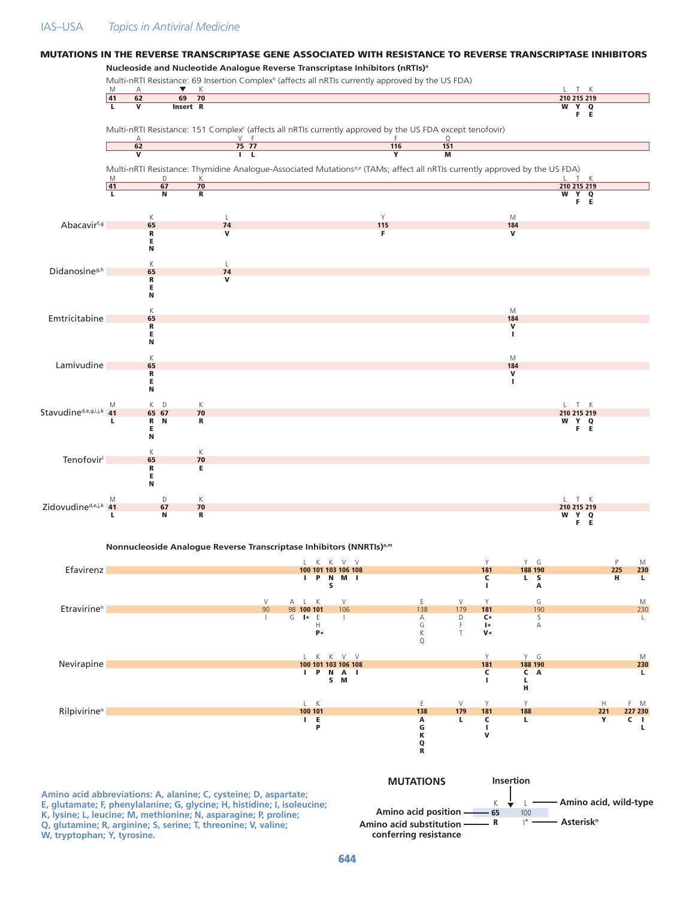## IAS–USA *Topics in Antiviral Medicine*

#### **Nucleoside and Nucleotide Analogue Reverse Transcriptase Inhibitors (nRTIs)a** Multi-nRTI Resistance: 69 Insertion Complex<sup>b</sup> (affects all nRTIs currently approved by the US FDA) M A  $\blacktriangledown$  K  $\blacktriangledown$  K 41 62 69 70 210 215 219 L V Insert R W Y Q Y Q<br>F E Multi-nRTI Resistance: 151 Complex<sup>c</sup> (affects all nRTIs currently approved by the US FDA except tenofovir) A Second V F G  $\sim$  T F Q **62 75 77 116 151** V I L Y M Multi-nRTI Resistance: Thymidine Analogue-Associated Mutationsd,e (TAMs; affect all nRTIs currently approved by the US FDA) M D K L T K 41 67 70 211 212 213 214 215 217 218 219 210 215 219 210 211 212 213 214 215 216 L N R W Y Q  $\overline{\mathbf{R}}$ K L L NY Y M Abacavirf,g 65 74 115 184 R V F V E N K L Didanosine<sup>g,h</sup> 65 74<br>R V R V E N K MARINE SERVICE STRUCK STRUCK STRUCK STRUCK STRUCK STRUCK STRUCK STRUCK STRUCK STRUCK STRUCK STRUCK STRUCK ST Emtricitabine 65 184<br>
R<br>
E R **R** SALL CONTROL CONTROL CONTROL CONTROL CONTROL CONTROL CONTROL CONTROL CONTROL CONTROL CONTROL CONTROL CONTROL CONTROL CONTROL CONTROL CONTROL CONTROL CONTROL CONTROL CONTROL CONTROL CONTROL CONTROL CONTROL CONTROL CON E Andreas and the second contract of the second contract of the second contract of the second contract of the s N K M Lamivudine 65 65 184 September 184 September 184 September 184 September 184 September 184 September 184 Septe R **R** SALL CONTROL CONTROL CONTROL CONTROL CONTROL CONTROL CONTROL CONTROL CONTROL CONTROL CONTROL CONTROL CONTROL CONTROL CONTROL CONTROL CONTROL CONTROL CONTROL CONTROL CONTROL CONTROL CONTROL CONTROL CONTROL CONTROL CON E Andreas and the second contract of the second contract of the second contract of the second contract of the E<br>N M K D K L T K Stavudine<sup>d,e,g,i,j,k</sup> 41 65 67 70 210 215 219<br>L R N R<br>E F E L R N R W Y Q E TERM IN THE EXPLORATION OF THE EXPLORATION OF THE EXPLORATION OF THE EXPLORATION OF THE EXPLORATION OF THE E N K K Tenofovir<sup>l</sup> 65 70 R E E N M D K L T K  $Zidovudine<sup>d,e,j,k</sup>$   $\begin{array}{ccc} \mathbb{M} & \mathbb{D} & \mathbb{K} & \mathbb{L} & \mathbb{T} & \mathbb{K} \\ \mathbf{A} & \mathbf{A} & \mathbf{B} & \mathbf{B} & \mathbf{C} & \mathbf{A} \\ \mathbf{A} & \mathbf{B} & \mathbf{B} & \mathbf{C} & \mathbf{A} \end{array}$ L N R W Y Q Y Q<br>F F

MUTATIONS IN THE REVERSE TRANSCRIPTASE GENE ASSOCIATED WITH RESISTANCE TO REVERSE TRANSCRIPTASE INHIBITORS

#### **Nonnucleoside Analogue Reverse Transcriptase Inhibitors (NNRTIs)a,m**



**W, tryptophan; Y, tyrosine.**

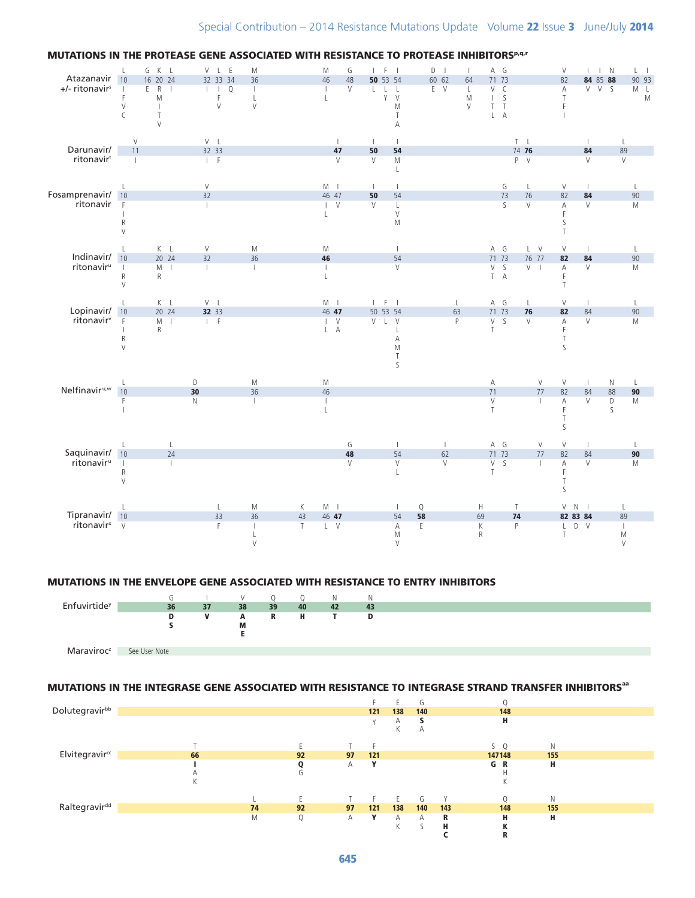

#### MUTATIONS IN THE PROTEASE GENE ASSOCIATED WITH RESISTANCE TO PROTEASE INHIBITORS<sup>p, q.r</sup>

#### MUTATIONS IN THE ENVELOPE GENE ASSOCIATED WITH RESISTANCE TO ENTRY INHIBITORS



### MUTATIONS IN THE INTEGRASE GENE ASSOCIATED WITH RESISTANCE TO INTEGRASE STRAND TRANSFER INHIBITORS<sup>aa</sup>

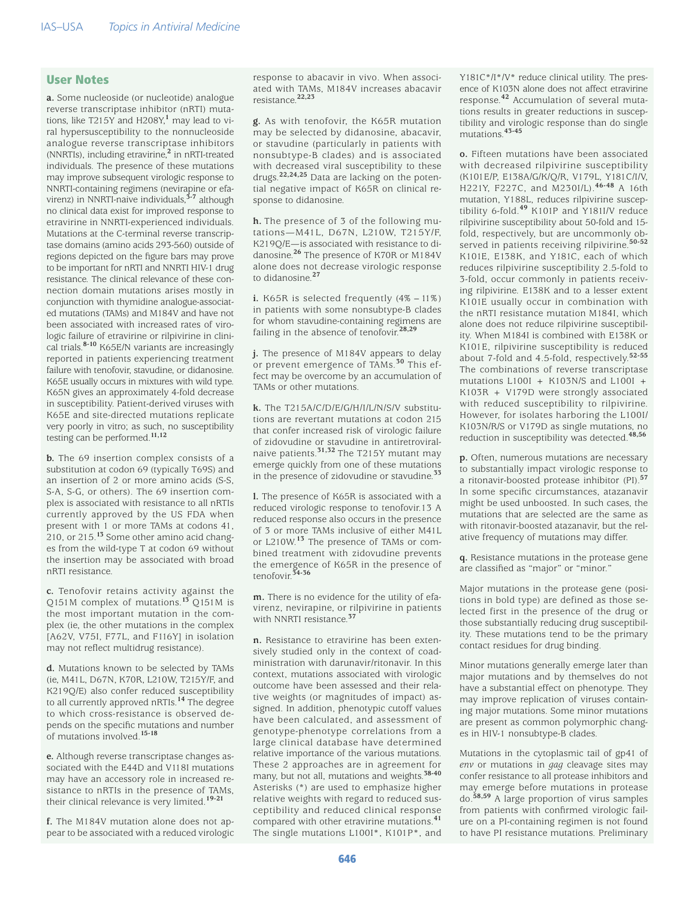## User Notes

**a.** Some nucleoside (or nucleotide) analogue reverse transcriptase inhibitor (nRTI) mutations, like T215Y and H208Y,**<sup>1</sup>** may lead to viral hypersusceptibility to the nonnucleoside analogue reverse transcriptase inhibitors (NNRTIs), including etravirine,**<sup>2</sup>** in nRTI-treated individuals. The presence of these mutations may improve subsequent virologic response to NNRTI-containing regimens (nevirapine or efavirenz) in NNRTI-naive individuals,**3-7** although no clinical data exist for improved response to etravirine in NNRTI-experienced individuals. Mutations at the C-terminal reverse transcriptase domains (amino acids 293-560) outside of regions depicted on the figure bars may prove to be important for nRTI and NNRTI HIV-1 drug resistance. The clinical relevance of these connection domain mutations arises mostly in conjunction with thymidine analogue-associated mutations (TAMs) and M184V and have not been associated with increased rates of virologic failure of etravirine or rilpivirine in clinical trials.**8-10** K65E/N variants are increasingly reported in patients experiencing treatment failure with tenofovir, stavudine, or didanosine. K65E usually occurs in mixtures with wild type. K65N gives an approximately 4-fold decrease in susceptibility. Patient-derived viruses with K65E and site-directed mutations replicate very poorly in vitro; as such, no susceptibility testing can be performed.**11,12**

**b.** The 69 insertion complex consists of a substitution at codon 69 (typically T69S) and an insertion of 2 or more amino acids (S-S, S-A, S-G, or others). The 69 insertion complex is associated with resistance to all nRTIs currently approved by the US FDA when present with 1 or more TAMs at codons 41, 210, or 215.**13** Some other amino acid changes from the wild-type T at codon 69 without the insertion may be associated with broad nRTI resistance.

**c.** Tenofovir retains activity against the Q151M complex of mutations.**13** Q151M is the most important mutation in the complex (ie, the other mutations in the complex [A62V, V75I, F77L, and F116Y] in isolation may not reflect multidrug resistance).

**d.** Mutations known to be selected by TAMs (ie, M41L, D67N, K70R, L210W, T215Y/F, and K219Q/E) also confer reduced susceptibility to all currently approved nRTIs.**14** The degree to which cross-resistance is observed depends on the specific mutations and number of mutations involved.**15-18**

**e.** Although reverse transcriptase changes associated with the E44D and V118I mutations may have an accessory role in increased resistance to nRTIs in the presence of TAMs, their clinical relevance is very limited.**19-21**

**f.** The M184V mutation alone does not appear to be associated with a reduced virologic response to abacavir in vivo. When associated with TAMs, M184V increases abacavir resistance.**22,23**

**g.** As with tenofovir, the K65R mutation may be selected by didanosine, abacavir, or stavudine (particularly in patients with nonsubtype-B clades) and is associated with decreased viral susceptibility to these drugs.**22,24,25** Data are lacking on the potential negative impact of K65R on clinical response to didanosine.

**h.** The presence of 3 of the following mutations—M41L, D67N, L210W, T215Y/F, K219Q/E—is associated with resistance to didanosine.**26** The presence of K70R or M184V alone does not decrease virologic response to didanosine.**<sup>27</sup>**

**i.** K65R is selected frequently (4%−11%) in patients with some nonsubtype-B clades for whom stavudine-containing regimens are failing in the absence of tenofovir.**28,29**

**j.** The presence of M184V appears to delay or prevent emergence of TAMs.**30** This effect may be overcome by an accumulation of TAMs or other mutations.

**k.** The T215A/C/D/E/G/H/I/L/N/S/V substitutions are revertant mutations at codon 215 that confer increased risk of virologic failure of zidovudine or stavudine in antiretroviralnaive patients.**31,32** The T215Y mutant may emerge quickly from one of these mutations in the presence of zidovudine or stavudine.**<sup>33</sup>**

**l.** The presence of K65R is associated with a reduced virologic response to tenofovir.13 A reduced response also occurs in the presence of 3 or more TAMs inclusive of either M41L or L210W.**13** The presence of TAMs or combined treatment with zidovudine prevents the emergence of K65R in the presence of tenofovir.**34-36**

**m.** There is no evidence for the utility of efavirenz, nevirapine, or rilpivirine in patients with NNRTI resistance.**<sup>37</sup>**

**n.** Resistance to etravirine has been extensively studied only in the context of coadministration with darunavir/ritonavir. In this context, mutations associated with virologic outcome have been assessed and their relative weights (or magnitudes of impact) assigned. In addition, phenotypic cutoff values have been calculated, and assessment of genotype-phenotype correlations from a large clinical database have determined relative importance of the various mutations. These 2 approaches are in agreement for many, but not all, mutations and weights.**38-40** Asterisks (\*) are used to emphasize higher relative weights with regard to reduced susceptibility and reduced clinical response compared with other etravirine mutations.**<sup>41</sup>** The single mutations L100I\*, K101P\*, and

Y181C\*/I\*/V\* reduce clinical utility. The presence of K103N alone does not affect etravirine response.**42** Accumulation of several mutations results in greater reductions in susceptibility and virologic response than do single mutations.**43-45**

**o.** Fifteen mutations have been associated with decreased rilpivirine susceptibility (K101E/P, E138A/G/K/Q/R, V179L, Y181C/I/V, H221Y, F227C, and M230I/L).**46-48** A 16th mutation, Y188L, reduces rilpivirine susceptibility 6-fold.**49** K101P and Y181I/V reduce rilpivirine susceptibility about 50-fold and 15 fold, respectively, but are uncommonly observed in patients receiving rilpivirine.**50-52** K101E, E138K, and Y181C, each of which reduces rilpivirine susceptibility 2.5-fold to 3-fold, occur commonly in patients receiving rilpivirine. E138K and to a lesser extent K101E usually occur in combination with the nRTI resistance mutation M184I, which alone does not reduce rilpivirine susceptibility. When M184I is combined with E138K or K101E, rilpivirine susceptibility is reduced about 7-fold and 4.5-fold, respectively.**52-55** The combinations of reverse transcriptase mutations L100I + K103N/S and L100I + K103R + V179D were strongly associated with reduced susceptibility to rilpivirine. However, for isolates harboring the L100I/ K103N/R/S or V179D as single mutations, no reduction in susceptibility was detected.**48,56**

**p.** Often, numerous mutations are necessary to substantially impact virologic response to a ritonavir-boosted protease inhibitor (PI).**<sup>57</sup>** In some specific circumstances, atazanavir might be used unboosted. In such cases, the mutations that are selected are the same as with ritonavir-boosted atazanavir, but the relative frequency of mutations may differ.

**q.** Resistance mutations in the protease gene are classified as "major" or "minor."

Major mutations in the protease gene (positions in bold type) are defined as those selected first in the presence of the drug or those substantially reducing drug susceptibility. These mutations tend to be the primary contact residues for drug binding.

Minor mutations generally emerge later than major mutations and by themselves do not have a substantial effect on phenotype. They may improve replication of viruses containing major mutations. Some minor mutations are present as common polymorphic changes in HIV-1 nonsubtype-B clades.

Mutations in the cytoplasmic tail of gp41 of *env* or mutations in *gag* cleavage sites may confer resistance to all protease inhibitors and may emerge before mutations in protease do.**58,59** A large proportion of virus samples from patients with confirmed virologic failure on a PI-containing regimen is not found to have PI resistance mutations. Preliminary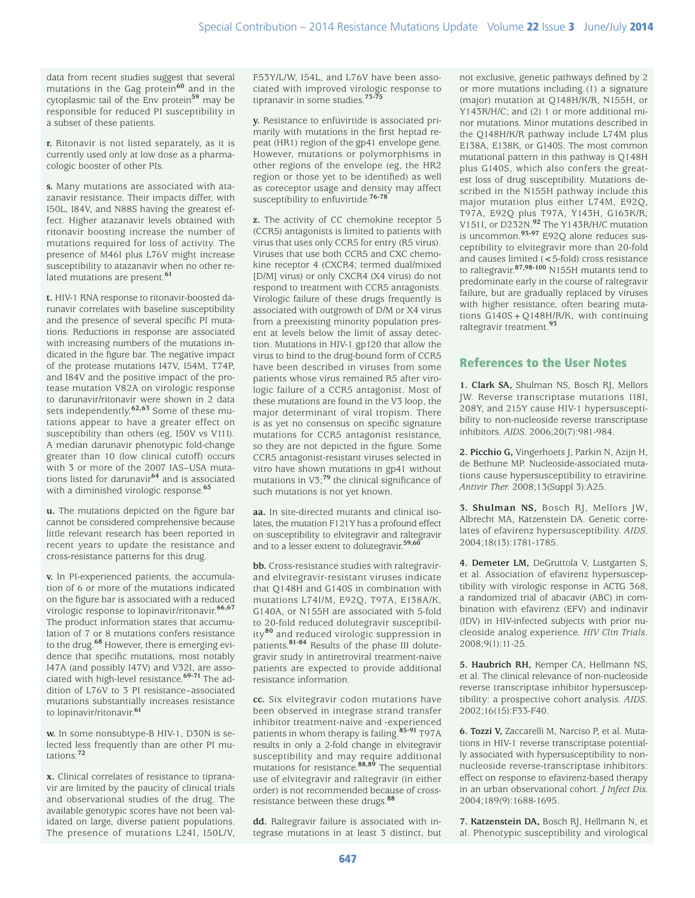data from recent studies suggest that several mutations in the Gag protein**60** and in the cytoplasmic tail of the Env protein**59** may be responsible for reduced PI susceptibility in a subset of these patients.

**r.** Ritonavir is not listed separately, as it is currently used only at low dose as a pharmacologic booster of other PIs.

**s.** Many mutations are associated with atazanavir resistance. Their impacts differ, with I50L, I84V, and N88S having the greatest effect. Higher atazanavir levels obtained with ritonavir boosting increase the number of mutations required for loss of activity. The presence of M46I plus L76V might increase susceptibility to atazanavir when no other related mutations are present.**<sup>61</sup>**

**t.** HIV-1 RNA response to ritonavir-boosted darunavir correlates with baseline susceptibility and the presence of several specific PI mutations. Reductions in response are associated with increasing numbers of the mutations indicated in the figure bar. The negative impact of the protease mutations I47V, I54M, T74P, and I84V and the positive impact of the protease mutation V82A on virologic response to darunavir/ritonavir were shown in 2 data sets independently.**62,63** Some of these mutations appear to have a greater effect on susceptibility than others (eg, I50V vs V11I). A median darunavir phenotypic fold-change greater than 10 (low clinical cutoff) occurs with 3 or more of the 2007 IAS–USA mutations listed for darunavir**64** and is associated with a diminished virologic response.**<sup>65</sup>**

**u.** The mutations depicted on the figure bar cannot be considered comprehensive because little relevant research has been reported in recent years to update the resistance and cross-resistance patterns for this drug.

**v.** In PI-experienced patients, the accumulation of 6 or more of the mutations indicated on the figure bar is associated with a reduced virologic response to lopinavir/ritonavir.**66,67** The product information states that accumulation of 7 or 8 mutations confers resistance to the drug.**68** However, there is emerging evidence that specific mutations, most notably I47A (and possibly I47V) and V32I, are associated with high-level resistance.**69-71** The addition of L76V to 3 PI resistance–associated mutations substantially increases resistance to lopinavir/ritonavir.**<sup>61</sup>**

**w.** In some nonsubtype-B HIV-1, D30N is selected less frequently than are other PI mutations.**<sup>72</sup>**

**x.** Clinical correlates of resistance to tipranavir are limited by the paucity of clinical trials and observational studies of the drug. The available genotypic scores have not been validated on large, diverse patient populations. The presence of mutations L24I, I50L/V,

F53Y/L/W, I54L, and L76V have been associated with improved virologic response to tipranavir in some studies.**73-75**

**y.** Resistance to enfuvirtide is associated primarily with mutations in the first heptad repeat (HR1) region of the gp41 envelope gene. However, mutations or polymorphisms in other regions of the envelope (eg, the HR2 region or those yet to be identified) as well as coreceptor usage and density may affect susceptibility to enfuvirtide.**76-78**

**z.** The activity of CC chemokine receptor 5 (CCR5) antagonists is limited to patients with virus that uses only CCR5 for entry (R5 virus). Viruses that use both CCR5 and CXC chemokine receptor 4 (CXCR4; termed dual/mixed [D/M] virus) or only CXCR4 (X4 virus) do not respond to treatment with CCR5 antagonists. Virologic failure of these drugs frequently is associated with outgrowth of D/M or X4 virus from a preexisting minority population present at levels below the limit of assay detection. Mutations in HIV-1 gp120 that allow the virus to bind to the drug-bound form of CCR5 have been described in viruses from some patients whose virus remained R5 after virologic failure of a CCR5 antagonist. Most of these mutations are found in the V3 loop, the major determinant of viral tropism. There is as yet no consensus on specific signature mutations for CCR5 antagonist resistance, so they are not depicted in the figure. Some CCR5 antagonist-resistant viruses selected in vitro have shown mutations in gp41 without mutations in V3;**79** the clinical significance of such mutations is not yet known.

**aa.** In site-directed mutants and clinical isolates, the mutation F121Y has a profound effect on susceptibility to elvitegravir and raltegravir and to a lesser extent to dolutegravir.**59,60**

**bb.** Cross-resistance studies with raltegravirand elvitegravir-resistant viruses indicate that Q148H and G140S in combination with mutations L74I/M, E92Q, T97A, E138A/K, G140A, or N155H are associated with 5-fold to 20-fold reduced dolutegravir susceptibility**80** and reduced virologic suppression in patients.**81-84** Results of the phase III dolutegravir study in antiretroviral treatment-naive patients are expected to provide additional resistance information.

**cc.** Six elvitegravir codon mutations have been observed in integrase strand transfer inhibitor treatment-naive and -experienced patients in whom therapy is failing.**85-91** T97A results in only a 2-fold change in elvitegravir susceptibility and may require additional mutations for resistance.**88,89** The sequential use of elvitegravir and raltegravir (in either order) is not recommended because of crossresistance between these drugs.**<sup>88</sup>**

**dd.** Raltegravir failure is associated with integrase mutations in at least 3 distinct, but

not exclusive, genetic pathways defined by 2 or more mutations including (1) a signature (major) mutation at Q148H/K/R, N155H, or Y143R/H/C; and (2) 1 or more additional minor mutations. Minor mutations described in the Q148H/K/R pathway include L74M plus E138A, E138K, or G140S. The most common mutational pattern in this pathway is Q148H plus G140S, which also confers the greatest loss of drug susceptibility. Mutations described in the N155H pathway include this major mutation plus either L74M, E92Q, T97A, E92Q plus T97A, Y143H, G163K/R, V151I, or D232N.**92** The Y143R/H/C mutation is uncommon.**93-97** E92Q alone reduces susceptibility to elvitegravir more than 20-fold and causes limited (< 5-fold) cross resistance to raltegravir.**87,98-100** N155H mutants tend to predominate early in the course of raltegravir failure, but are gradually replaced by viruses with higher resistance, often bearing mutations G140S+Q148H/R/K, with continuing raltegravir treatment.**<sup>93</sup>**

# References to the User Notes

**1. Clark SA,** Shulman NS, Bosch RJ, Mellors JW. Reverse transcriptase mutations 118I, 208Y, and 215Y cause HIV-1 hypersusceptibility to non-nucleoside reverse transcriptase inhibitors. *AIDS.* 2006;20(7):981-984.

**2. Picchio G,** Vingerhoets J, Parkin N, Azijn H, de Bethune MP. Nucleoside-associated mutations cause hypersusceptibility to etravirine. *Antivir Ther.* 2008;13(Suppl 3):A25.

**3. Shulman NS,** Bosch RJ, Mellors JW, Albrecht MA, Katzenstein DA. Genetic correlates of efavirenz hypersusceptibility. *AIDS.* 2004;18(13):1781-1785.

**4. Demeter LM,** DeGruttola V, Lustgarten S, et al. Association of efavirenz hypersusceptibility with virologic response in ACTG 368, a randomized trial of abacavir (ABC) in combination with efavirenz (EFV) and indinavir (IDV) in HIV-infected subjects with prior nucleoside analog experience. *HIV Clin Trials*. 2008;9(1):11-25.

**5. Haubrich RH,** Kemper CA, Hellmann NS, et al. The clinical relevance of non-nucleoside reverse transcriptase inhibitor hypersusceptibility: a prospective cohort analysis. *AIDS*. 2002;16(15):F33-F40.

**6. Tozzi V,** Zaccarelli M, Narciso P, et al. Mutations in HIV-1 reverse transcriptase potentially associated with hypersusceptibility to nonnucleoside reverse-transcriptase inhibitors: effect on response to efavirenz-based therapy in an urban observational cohort. *J Infect Dis.*  2004;189(9):1688-1695.

**7. Katzenstein DA,** Bosch RJ, Hellmann N, et al. Phenotypic susceptibility and virological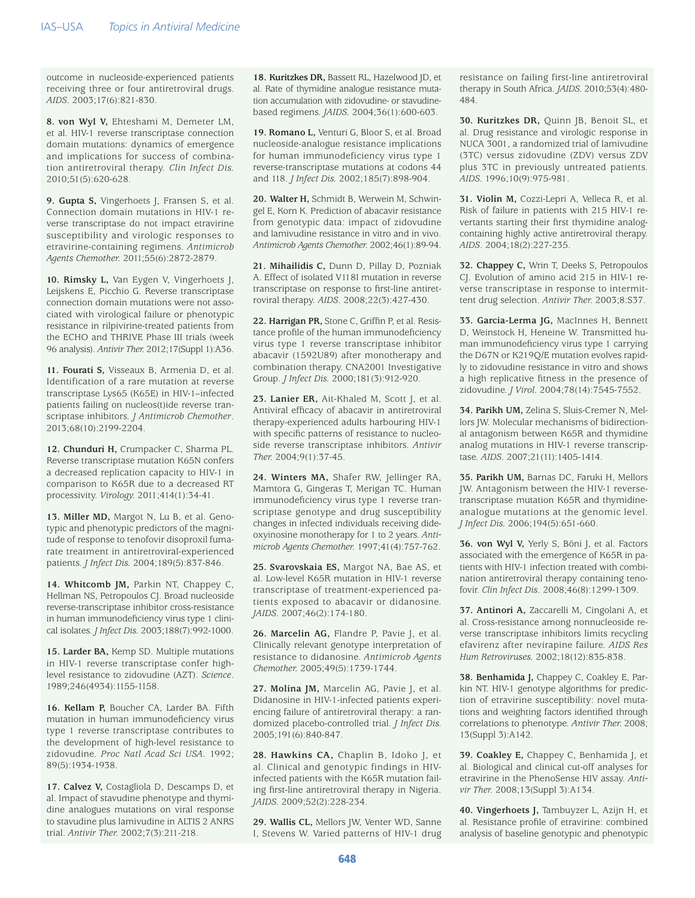outcome in nucleoside-experienced patients receiving three or four antiretroviral drugs. *AIDS*. 2003;17(6):821-830.

**8. von Wyl V,** Ehteshami M, Demeter LM, et al. HIV-1 reverse transcriptase connection domain mutations: dynamics of emergence and implications for success of combination antiretroviral therapy. *Clin Infect Dis.*  2010;51(5):620-628.

**9. Gupta S,** Vingerhoets J, Fransen S, et al. Connection domain mutations in HIV-1 reverse transcriptase do not impact etravirine susceptibility and virologic responses to etravirine-containing regimens. *Antimicrob Agents Chemother.* 2011;55(6):2872-2879.

**10. Rimsky L,** Van Eygen V, Vingerhoets J, Leijskens E, Picchio G. Reverse transcriptase connection domain mutations were not associated with virological failure or phenotypic resistance in rilpivirine-treated patients from the ECHO and THRIVE Phase III trials (week 96 analysis). *Antivir Ther.* 2012;17(Suppl 1):A36.

**11. Fourati S,** Visseaux B, Armenia D, et al. Identification of a rare mutation at reverse transcriptase Lys65 (K65E) in HIV-1–infected patients failing on nucleos(t)ide reverse transcriptase inhibitors. *J Antimicrob Chemother*. 2013;68(10):2199-2204.

**12. Chunduri H,** Crumpacker C, Sharma PL. Reverse transcriptase mutation K65N confers a decreased replication capacity to HIV-1 in comparison to K65R due to a decreased RT processivity. *Virology.* 2011;414(1):34-41.

**13. Miller MD,** Margot N, Lu B, et al. Genotypic and phenotypic predictors of the magnitude of response to tenofovir disoproxil fumarate treatment in antiretroviral-experienced patients. *J Infect Dis.* 2004;189(5):837-846.

**14. Whitcomb JM,** Parkin NT, Chappey C, Hellman NS, Petropoulos CJ. Broad nucleoside reverse-transcriptase inhibitor cross-resistance in human immunodeficiency virus type 1 clinical isolates. *J Infect Dis.* 2003;188(7):992-1000.

**15. Larder BA,** Kemp SD. Multiple mutations in HIV-1 reverse transcriptase confer highlevel resistance to zidovudine (AZT). *Science*. 1989;246(4934):1155-1158.

**16. Kellam P,** Boucher CA, Larder BA. Fifth mutation in human immunodeficiency virus type 1 reverse transcriptase contributes to the development of high-level resistance to zidovudine. *Proc Natl Acad Sci USA.* 1992; 89(5):1934-1938.

**17. Calvez V,** Costagliola D, Descamps D, et al. Impact of stavudine phenotype and thymidine analogues mutations on viral response to stavudine plus lamivudine in ALTIS 2 ANRS trial. *Antivir Ther.* 2002;7(3):211-218.

**18. Kuritzkes DR,** Bassett RL, Hazelwood JD, et al. Rate of thymidine analogue resistance mutation accumulation with zidovudine- or stavudinebased regimens. *JAIDS.* 2004;36(1):600-603.

**19. Romano L,** Venturi G, Bloor S, et al. Broad nucleoside-analogue resistance implications for human immunodeficiency virus type 1 reverse-transcriptase mutations at codons 44 and 118. *J Infect Dis.* 2002;185(7):898-904.

**20. Walter H,** Schmidt B, Werwein M, Schwingel E, Korn K. Prediction of abacavir resistance from genotypic data: impact of zidovudine and lamivudine resistance in vitro and in vivo. *Antimicrob Agents Chemother.* 2002;46(1):89-94.

**21. Mihailidis C,** Dunn D, Pillay D, Pozniak A. Effect of isolated V118I mutation in reverse transcriptase on response to first-line antiretroviral therapy. *AIDS*. 2008;22(3):427-430.

**22. Harrigan PR,** Stone C, Griffin P, et al. Resistance profile of the human immunodeficiency virus type 1 reverse transcriptase inhibitor abacavir (1592U89) after monotherapy and combination therapy. CNA2001 Investigative Group. *J Infect Dis.* 2000;181(3):912-920.

**23. Lanier ER,** Ait-Khaled M, Scott J, et al. Antiviral efficacy of abacavir in antiretroviral therapy-experienced adults harbouring HIV-1 with specific patterns of resistance to nucleoside reverse transcriptase inhibitors. *Antivir Ther.* 2004;9(1):37-45.

**24. Winters MA,** Shafer RW, Jellinger RA, Mamtora G, Gingeras T, Merigan TC. Human immunodeficiency virus type 1 reverse transcriptase genotype and drug susceptibility changes in infected individuals receiving dideoxyinosine monotherapy for 1 to 2 years. *Antimicrob Agents Chemother.* 1997;41(4):757-762.

**25. Svarovskaia ES,** Margot NA, Bae AS, et al. Low-level K65R mutation in HIV-1 reverse transcriptase of treatment-experienced patients exposed to abacavir or didanosine. *JAIDS*. 2007;46(2):174-180.

**26. Marcelin AG,** Flandre P, Pavie J, et al. Clinically relevant genotype interpretation of resistance to didanosine. *Antimicrob Agents Chemother.* 2005;49(5):1739-1744.

**27. Molina JM,** Marcelin AG, Pavie J, et al. Didanosine in HIV-1-infected patients experiencing failure of antiretroviral therapy: a randomized placebo-controlled trial. *J Infect Dis.*  2005;191(6):840-847.

**28. Hawkins CA,** Chaplin B, Idoko J, et al. Clinical and genotypic findings in HIVinfected patients with the K65R mutation failing first-line antiretroviral therapy in Nigeria. *JAIDS.* 2009;52(2):228-234.

29. Wallis CL, Mellors JW, Venter WD, Sanne I, Stevens W. Varied patterns of HIV-1 drug

resistance on failing first-line antiretroviral therapy in South Africa. *JAIDS.* 2010;53(4):480- 484.

**30. Kuritzkes DR,** Quinn JB, Benoit SL, et al. Drug resistance and virologic response in NUCA 3001, a randomized trial of lamivudine (3TC) versus zidovudine (ZDV) versus ZDV plus 3TC in previously untreated patients. *AIDS.* 1996;10(9):975-981.

**31. Violin M,** Cozzi-Lepri A, Velleca R, et al. Risk of failure in patients with 215 HIV-1 revertants starting their first thymidine analogcontaining highly active antiretroviral therapy. *AIDS*. 2004;18(2):227-235.

**32. Chappey C,** Wrin T, Deeks S, Petropoulos CJ. Evolution of amino acid 215 in HIV-1 reverse transcriptase in response to intermittent drug selection. *Antivir Ther.* 2003;8:S37.

**33. Garcia-Lerma JG,** MacInnes H, Bennett D, Weinstock H, Heneine W. Transmitted human immunodeficiency virus type 1 carrying the D67N or K219Q/E mutation evolves rapidly to zidovudine resistance in vitro and shows a high replicative fitness in the presence of zidovudine. *J Virol.* 2004;78(14):7545-7552.

**34. Parikh UM,** Zelina S, Sluis-Cremer N, Mellors JW. Molecular mechanisms of bidirectional antagonism between K65R and thymidine analog mutations in HIV-1 reverse transcriptase. *AIDS*. 2007;21(11):1405-1414.

**35. Parikh UM,** Barnas DC, Faruki H, Mellors JW. Antagonism between the HIV-1 reversetranscriptase mutation K65R and thymidineanalogue mutations at the genomic level. *J Infect Dis.* 2006;194(5):651-660.

**36. von Wyl V,** Yerly S, Böni J, et al. Factors associated with the emergence of K65R in patients with HIV-1 infection treated with combination antiretroviral therapy containing tenofovir. *Clin Infect Dis*. 2008;46(8):1299-1309.

**37. Antinori A,** Zaccarelli M, Cingolani A, et al. Cross-resistance among nonnucleoside reverse transcriptase inhibitors limits recycling efavirenz after nevirapine failure. *AIDS Res Hum Retroviruses.* 2002;18(12):835-838.

**38. Benhamida J,** Chappey C, Coakley E, Parkin NT. HIV-1 genotype algorithms for prediction of etravirine susceptibility: novel mutations and weighting factors identified through correlations to phenotype. *Antivir Ther.* 2008; 13(Suppl 3):A142.

**39. Coakley E,** Chappey C, Benhamida J, et al. Biological and clinical cut-off analyses for etravirine in the PhenoSense HIV assay. *Antivir Ther.* 2008;13(Suppl 3):A134.

**40. Vingerhoets J,** Tambuyzer L, Azijn H, et al. Resistance profile of etravirine: combined analysis of baseline genotypic and phenotypic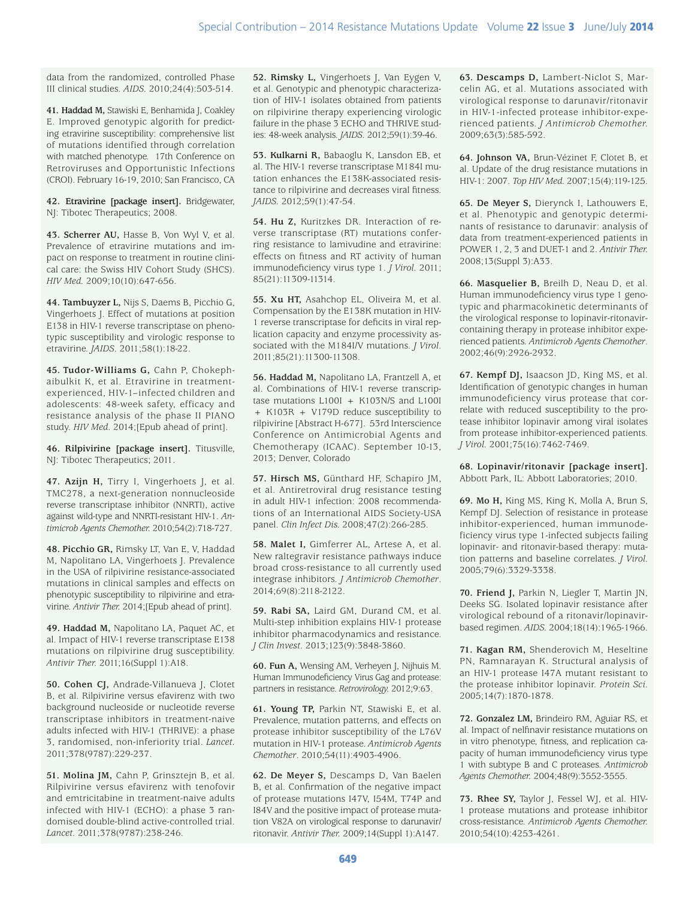data from the randomized, controlled Phase III clinical studies. *AIDS.* 2010;24(4):503-514.

41. Haddad M, Stawiski E, Benhamida J, Coakley E. Improved genotypic algorith for predicting etravirine susceptibility: comprehensive list of mutations identified through correlation with matched phenotype. 17th Conference on Retroviruses and Opportunistic Infections (CROI). February 16-19, 2010; San Francisco, CA

**42. Etravirine [package insert].** Bridgewater, NJ: Tibotec Therapeutics; 2008.

**43. Scherrer AU,** Hasse B, Von Wyl V, et al. Prevalence of etravirine mutations and impact on response to treatment in routine clinical care: the Swiss HIV Cohort Study (SHCS). *HIV Med.* 2009;10(10):647-656.

**44. Tambuyzer L,** Nijs S, Daems B, Picchio G, Vingerhoets J. Effect of mutations at position E138 in HIV-1 reverse transcriptase on phenotypic susceptibility and virologic response to etravirine. *JAIDS*. 2011;58(1):18-22.

**45. Tudor-Williams G,** Cahn P, Chokephaibulkit K, et al. Etravirine in treatmentexperienced, HIV-1–infected children and adolescents: 48-week safety, efficacy and resistance analysis of the phase II PIANO study. *HIV Med*. 2014;[Epub ahead of print].

**46. Rilpivirine [package insert].** Titusville, NJ: Tibotec Therapeutics; 2011.

**47. Azijn H,** Tirry I, Vingerhoets J, et al. TMC278, a next-generation nonnucleoside reverse transcriptase inhibitor (NNRTI), active against wild-type and NNRTI-resistant HIV-1. *Antimicrob Agents Chemother.* 2010;54(2):718-727.

**48. Picchio GR,** Rimsky LT, Van E, V, Haddad M, Napolitano LA, Vingerhoets J. Prevalence in the USA of rilpivirine resistance-associated mutations in clinical samples and effects on phenotypic susceptibility to rilpivirine and etravirine. *Antivir Ther.* 2014;[Epub ahead of print].

**49. Haddad M,** Napolitano LA, Paquet AC, et al. Impact of HIV-1 reverse transcriptase E138 mutations on rilpivirine drug susceptibility. *Antivir Ther.* 2011;16(Suppl 1):A18.

**50. Cohen CJ,** Andrade-Villanueva J, Clotet B, et al. Rilpivirine versus efavirenz with two background nucleoside or nucleotide reverse transcriptase inhibitors in treatment-naive adults infected with HIV-1 (THRIVE): a phase 3, randomised, non-inferiority trial. *Lancet.*  2011;378(9787):229-237.

**51. Molina JM,** Cahn P, Grinsztejn B, et al. Rilpivirine versus efavirenz with tenofovir and emtricitabine in treatment-naive adults infected with HIV-1 (ECHO): a phase 3 randomised double-blind active-controlled trial. *Lancet.* 2011;378(9787):238-246.

**52. Rimsky L,** Vingerhoets J, Van Eygen V, et al. Genotypic and phenotypic characterization of HIV-1 isolates obtained from patients on rilpivirine therapy experiencing virologic failure in the phase 3 ECHO and THRIVE studies: 48-week analysis. *JAIDS*. 2012;59(1):39-46.

**53. Kulkarni R,** Babaoglu K, Lansdon EB, et al. The HIV-1 reverse transcriptase M184I mutation enhances the E138K-associated resistance to rilpivirine and decreases viral fitness. *JAIDS.* 2012;59(1):47-54.

**54. Hu Z,** Kuritzkes DR. Interaction of reverse transcriptase (RT) mutations conferring resistance to lamivudine and etravirine: effects on fitness and RT activity of human immunodeficiency virus type 1. *J Virol.* 2011; 85(21):11309-11314.

**55. Xu HT,** Asahchop EL, Oliveira M, et al. Compensation by the E138K mutation in HIV-1 reverse transcriptase for deficits in viral replication capacity and enzyme processivity associated with the M184I/V mutations. *J Virol*. 2011;85(21):11300-11308.

**56. Haddad M,** Napolitano LA, Frantzell A, et al. Combinations of HIV-1 reverse transcriptase mutations L100I + K103N/S and L100I + K103R + V179D reduce susceptibility to rilpivirine [Abstract H-677]. 53rd Interscience Conference on Antimicrobial Agents and Chemotherapy (ICAAC). September 10-13, 2013; Denver, Colorado

**57. Hirsch MS,** Günthard HF, Schapiro JM, et al. Antiretroviral drug resistance testing in adult HIV-1 infection: 2008 recommendations of an International AIDS Society-USA panel. *Clin Infect Dis.* 2008;47(2):266-285.

**58. Malet I,** Gimferrer AL, Artese A, et al. New raltegravir resistance pathways induce broad cross-resistance to all currently used integrase inhibitors. *J Antimicrob Chemother*. 2014;69(8):2118-2122.

**59. Rabi SA,** Laird GM, Durand CM, et al. Multi-step inhibition explains HIV-1 protease inhibitor pharmacodynamics and resistance. *J Clin Invest.* 2013;123(9):3848-3860.

**60. Fun A,** Wensing AM, Verheyen J, Nijhuis M. Human Immunodeficiency Virus Gag and protease: partners in resistance. *Retrovirology.* 2012;9:63.

**61. Young TP,** Parkin NT, Stawiski E, et al. Prevalence, mutation patterns, and effects on protease inhibitor susceptibility of the L76V mutation in HIV-1 protease. *Antimicrob Agents Chemother*. 2010;54(11):4903-4906.

**62. De Meyer S,** Descamps D, Van Baelen B, et al. Confirmation of the negative impact of protease mutations I47V, I54M, T74P and I84V and the positive impact of protease mutation V82A on virological response to darunavir/ ritonavir. *Antivir Ther.* 2009;14(Suppl 1):A147.

**63. Descamps D,** Lambert-Niclot S, Marcelin AG, et al. Mutations associated with virological response to darunavir/ritonavir in HIV-1-infected protease inhibitor-experienced patients. *J Antimicrob Chemother.* 2009;63(3):585-592.

**64. Johnson VA,** Brun-Vézinet F, Clotet B, et al. Update of the drug resistance mutations in HIV-1: 2007. *Top HIV Med.* 2007;15(4):119-125.

**65. De Meyer S,** Dierynck I, Lathouwers E, et al. Phenotypic and genotypic determinants of resistance to darunavir: analysis of data from treatment-experienced patients in POWER 1, 2, 3 and DUET-1 and 2. *Antivir Ther.* 2008;13(Suppl 3):A33.

**66. Masquelier B,** Breilh D, Neau D, et al. Human immunodeficiency virus type 1 genotypic and pharmacokinetic determinants of the virological response to lopinavir-ritonavircontaining therapy in protease inhibitor experienced patients. *Antimicrob Agents Chemother*. 2002;46(9):2926-2932.

**67. Kempf DJ,** Isaacson JD, King MS, et al. Identification of genotypic changes in human immunodeficiency virus protease that correlate with reduced susceptibility to the protease inhibitor lopinavir among viral isolates from protease inhibitor-experienced patients. *J Virol.* 2001;75(16):7462-7469.

**68. Lopinavir/ritonavir [package insert].**  Abbott Park, IL: Abbott Laboratories; 2010.

**69. Mo H,** King MS, King K, Molla A, Brun S, Kempf DJ. Selection of resistance in protease inhibitor-experienced, human immunodeficiency virus type 1-infected subjects failing lopinavir- and ritonavir-based therapy: mutation patterns and baseline correlates. *J Virol.* 2005;79(6):3329-3338.

**70. Friend J,** Parkin N, Liegler T, Martin JN, Deeks SG. Isolated lopinavir resistance after virological rebound of a ritonavir/lopinavirbased regimen. *AIDS.* 2004;18(14):1965-1966.

**71. Kagan RM,** Shenderovich M, Heseltine PN, Ramnarayan K. Structural analysis of an HIV-1 protease I47A mutant resistant to the protease inhibitor lopinavir. *Protein Sci.*  2005;14(7):1870-1878.

**72. Gonzalez LM,** Brindeiro RM, Aguiar RS, et al. Impact of nelfinavir resistance mutations on in vitro phenotype, fitness, and replication capacity of human immunodeficiency virus type 1 with subtype B and C proteases. *Antimicrob Agents Chemother.* 2004;48(9):3552-3555.

**73. Rhee SY,** Taylor J, Fessel WJ, et al. HIV-1 protease mutations and protease inhibitor cross-resistance. *Antimicrob Agents Chemother.* 2010;54(10):4253-4261.